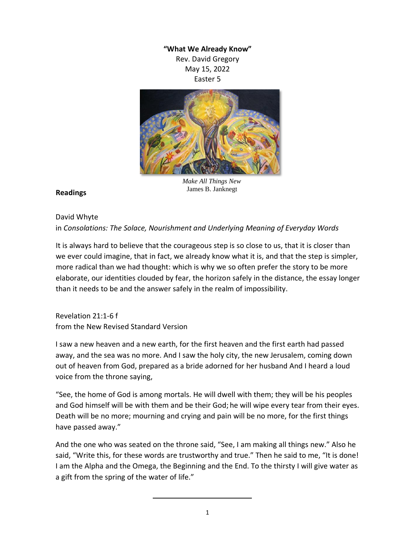## **"What We Already Know"** Rev. David Gregory

May 15, 2022 Easter 5



*Make All Things New* James B. Janknegt

## **Readings**

## David Whyte in *Consolations: The Solace, Nourishment and Underlying Meaning of Everyday Words*

It is always hard to believe that the courageous step is so close to us, that it is closer than we ever could imagine, that in fact, we already know what it is, and that the step is simpler, more radical than we had thought: which is why we so often prefer the story to be more elaborate, our identities clouded by fear, the horizon safely in the distance, the essay longer than it needs to be and the answer safely in the realm of impossibility.

Revelation 21:1-6 f from the New Revised Standard Version

I saw a new heaven and a new earth, for the first heaven and the first earth had passed away, and the sea was no more. And I saw the holy city, the new Jerusalem, coming down out of heaven from God, prepared as a bride adorned for her husband And I heard a loud voice from the throne saying,

"See, the home of God is among mortals. He will dwell with them; they will be his peoples and God himself will be with them and be their God; he will wipe every tear from their eyes. Death will be no more; mourning and crying and pain will be no more, for the first things have passed away."

And the one who was seated on the throne said, "See, I am making all things new." Also he said, "Write this, for these words are trustworthy and true." Then he said to me, "It is done! I am the Alpha and the Omega, the Beginning and the End. To the thirsty I will give water as a gift from the spring of the water of life."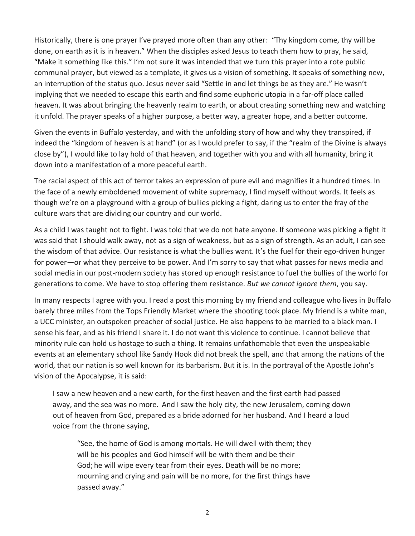Historically, there is one prayer I've prayed more often than any other: "Thy kingdom come, thy will be done, on earth as it is in heaven." When the disciples asked Jesus to teach them how to pray, he said, "Make it something like this." I'm not sure it was intended that we turn this prayer into a rote public communal prayer, but viewed as a template, it gives us a vision of something. It speaks of something new, an interruption of the status quo. Jesus never said "Settle in and let things be as they are." He wasn't implying that we needed to escape this earth and find some euphoric utopia in a far-off place called heaven. It was about bringing the heavenly realm to earth, or about creating something new and watching it unfold. The prayer speaks of a higher purpose, a better way, a greater hope, and a better outcome.

Given the events in Buffalo yesterday, and with the unfolding story of how and why they transpired, if indeed the "kingdom of heaven is at hand" (or as I would prefer to say, if the "realm of the Divine is always close by"), I would like to lay hold of that heaven, and together with you and with all humanity, bring it down into a manifestation of a more peaceful earth.

The racial aspect of this act of terror takes an expression of pure evil and magnifies it a hundred times. In the face of a newly emboldened movement of white supremacy, I find myself without words. It feels as though we're on a playground with a group of bullies picking a fight, daring us to enter the fray of the culture wars that are dividing our country and our world.

As a child I was taught not to fight. I was told that we do not hate anyone. If someone was picking a fight it was said that I should walk away, not as a sign of weakness, but as a sign of strength. As an adult, I can see the wisdom of that advice. Our resistance is what the bullies want. It's the fuel for their ego-driven hunger for power—or what they perceive to be power. And I'm sorry to say that what passes for news media and social media in our post-modern society has stored up enough resistance to fuel the bullies of the world for generations to come. We have to stop offering them resistance. *But we cannot ignore them*, you say.

In many respects I agree with you. I read a post this morning by my friend and colleague who lives in Buffalo barely three miles from the Tops Friendly Market where the shooting took place. My friend is a white man, a UCC minister, an outspoken preacher of social justice. He also happens to be married to a black man. I sense his fear, and as his friend I share it. I do not want this violence to continue. I cannot believe that minority rule can hold us hostage to such a thing. It remains unfathomable that even the unspeakable events at an elementary school like Sandy Hook did not break the spell, and that among the nations of the world, that our nation is so well known for its barbarism. But it is. In the portrayal of the Apostle John's vision of the Apocalypse, it is said:

I saw a new heaven and a new earth, for the first heaven and the first earth had passed away, and the sea was no more. And I saw the holy city, the new Jerusalem, coming down out of heaven from God, prepared as a bride adorned for her husband. And I heard a loud voice from the throne saying,

"See, the home of God is among mortals. He will dwell with them; they will be his peoples and God himself will be with them and be their God; he will wipe every tear from their eyes. Death will be no more; mourning and crying and pain will be no more, for the first things have passed away."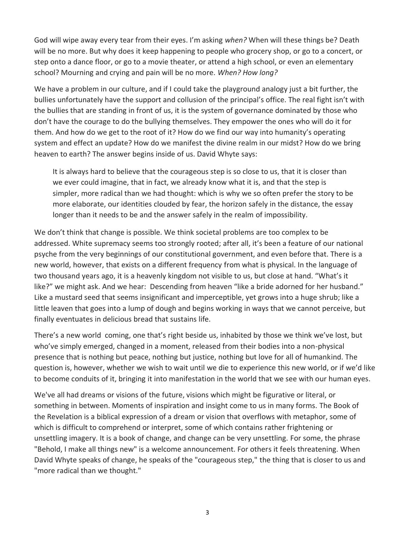God will wipe away every tear from their eyes. I'm asking *when?* When will these things be? Death will be no more. But why does it keep happening to people who grocery shop, or go to a concert, or step onto a dance floor, or go to a movie theater, or attend a high school, or even an elementary school? Mourning and crying and pain will be no more. *When? How long?*

We have a problem in our culture, and if I could take the playground analogy just a bit further, the bullies unfortunately have the support and collusion of the principal's office. The real fight isn't with the bullies that are standing in front of us, it is the system of governance dominated by those who don't have the courage to do the bullying themselves. They empower the ones who will do it for them. And how do we get to the root of it? How do we find our way into humanity's operating system and effect an update? How do we manifest the divine realm in our midst? How do we bring heaven to earth? The answer begins inside of us. David Whyte says:

It is always hard to believe that the courageous step is so close to us, that it is closer than we ever could imagine, that in fact, we already know what it is, and that the step is simpler, more radical than we had thought: which is why we so often prefer the story to be more elaborate, our identities clouded by fear, the horizon safely in the distance, the essay longer than it needs to be and the answer safely in the realm of impossibility.

We don't think that change is possible. We think societal problems are too complex to be addressed. White supremacy seems too strongly rooted; after all, it's been a feature of our national psyche from the very beginnings of our constitutional government, and even before that. There is a new world, however, that exists on a different frequency from what is physical. In the language of two thousand years ago, it is a heavenly kingdom not visible to us, but close at hand. "What's it like?" we might ask. And we hear: Descending from heaven "like a bride adorned for her husband." Like a mustard seed that seems insignificant and imperceptible, yet grows into a huge shrub; like a little leaven that goes into a lump of dough and begins working in ways that we cannot perceive, but finally eventuates in delicious bread that sustains life.

There's a new world coming, one that's right beside us, inhabited by those we think we've lost, but who've simply emerged, changed in a moment, released from their bodies into a non-physical presence that is nothing but peace, nothing but justice, nothing but love for all of humankind. The question is, however, whether we wish to wait until we die to experience this new world, or if we'd like to become conduits of it, bringing it into manifestation in the world that we see with our human eyes.

We've all had dreams or visions of the future, visions which might be figurative or literal, or something in between. Moments of inspiration and insight come to us in many forms. The Book of the Revelation is a biblical expression of a dream or vision that overflows with metaphor, some of which is difficult to comprehend or interpret, some of which contains rather frightening or unsettling imagery. It is a book of change, and change can be very unsettling. For some, the phrase "Behold, I make all things new" is a welcome announcement. For others it feels threatening. When David Whyte speaks of change, he speaks of the "courageous step," the thing that is closer to us and "more radical than we thought."